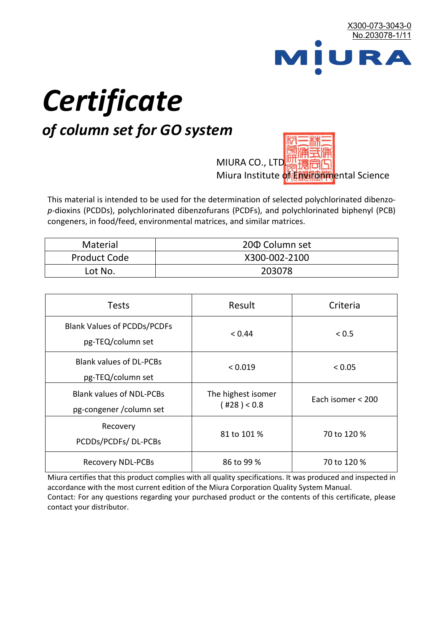

# *Certificate*

# *of column set for GO system*

MIURA CO., LTD. Miura Institute of 正版而解ental Science

This material is intended to be used for the determination of selected polychlorinated dibenzo*p*-dioxins (PCDDs), polychlorinated dibenzofurans (PCDFs), and polychlorinated biphenyl (PCB) congeners, in food/feed, environmental matrices, and similar matrices.

| <b>Material</b>     | 200 Column set |  |
|---------------------|----------------|--|
| <b>Product Code</b> | X300-002-2100  |  |
| Lot No.             | 203078         |  |

| <b>Tests</b>                                                | Result                            | Criteria          |
|-------------------------------------------------------------|-----------------------------------|-------------------|
| <b>Blank Values of PCDDs/PCDFs</b><br>pg-TEQ/column set     | < 0.44                            | < 0.5             |
| <b>Blank values of DL-PCBs</b><br>pg-TEQ/column set         | < 0.019                           | < 0.05            |
| <b>Blank values of NDL-PCBs</b><br>pg-congener / column set | The highest isomer<br>(428) < 0.8 | Each isomer < 200 |
| Recovery<br>PCDDs/PCDFs/DL-PCBs                             | 81 to 101 %                       | 70 to 120 %       |
| <b>Recovery NDL-PCBs</b>                                    | 86 to 99 %                        | 70 to 120 %       |

Miura certifies that this product complies with all quality specifications. It was produced and inspected in accordance with the most current edition of the Miura Corporation Quality System Manual. Contact: For any questions regarding your purchased product or the contents of this certificate, please contact your distributor.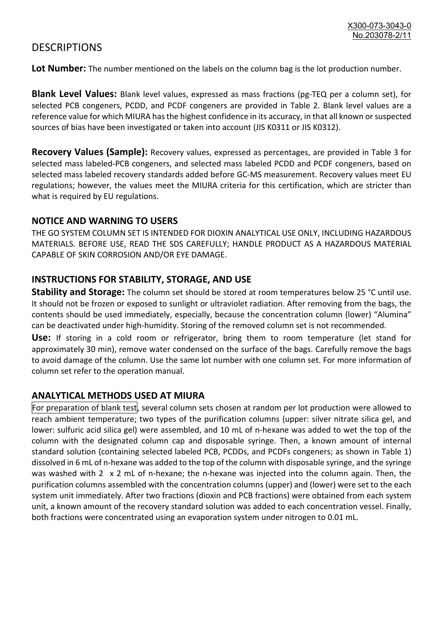## **DESCRIPTIONS**

**Lot Number:** The number mentioned on the labels on the column bag is the lot production number.

**Blank Level Values:** Blank level values, expressed as mass fractions (pg-TEQ per a column set), for selected PCB congeners, PCDD, and PCDF congeners are provided in Table 2. Blank level values are a reference value for which MIURA has the highest confidence in its accuracy, in that all known or suspected sources of bias have been investigated or taken into account (JIS K0311 or JIS K0312).

**Recovery Values (Sample):** Recovery values, expressed as percentages, are provided in Table 3 for selected mass labeled-PCB congeners, and selected mass labeled PCDD and PCDF congeners, based on selected mass labeled recovery standards added before GC-MS measurement. Recovery values meet EU regulations; however, the values meet the MIURA criteria for this certification, which are stricter than what is required by EU regulations.

#### **NOTICE AND WARNING TO USERS**

THE GO SYSTEM COLUMN SET IS INTENDED FOR DIOXIN ANALYTICAL USE ONLY, INCLUDING HAZARDOUS MATERIALS. BEFORE USE, READ THE SDS CAREFULLY; HANDLE PRODUCT AS A HAZARDOUS MATERIAL CAPABLE OF SKIN CORROSION AND/OR EYE DAMAGE.

#### **INSTRUCTIONS FOR STABILITY, STORAGE, AND USE**

**Stability and Storage:** The column set should be stored at room temperatures below 25 °C until use. It should not be frozen or exposed to sunlight or ultraviolet radiation. After removing from the bags, the contents should be used immediately, especially, because the concentration column (lower) "Alumina" can be deactivated under high-humidity. Storing of the removed column set is not recommended.

**Use:** If storing in a cold room or refrigerator, bring them to room temperature (let stand for approximately 30 min), remove water condensed on the surface of the bags. Carefully remove the bags to avoid damage of the column. Use the same lot number with one column set. For more information of column set refer to the operation manual.

### **ANALYTICAL METHODS USED AT MIURA**

For preparation of blank test, several column sets chosen at random per lot production were allowed to reach ambient temperature; two types of the purification columns (upper: silver nitrate silica gel, and lower: sulfuric acid silica gel) were assembled, and 10 mL of n-hexane was added to wet the top of the column with the designated column cap and disposable syringe. Then, a known amount of internal standard solution (containing selected labeled PCB, PCDDs, and PCDFs congeners; as shown in Table 1) dissolved in 6 mL of n-hexane was added to the top of the column with disposable syringe, and the syringe was washed with 2 x 2 mL of n-hexane; the n-hexane was injected into the column again. Then, the purification columns assembled with the concentration columns (upper) and (lower) were set to the each system unit immediately. After two fractions (dioxin and PCB fractions) were obtained from each system unit, a known amount of the recovery standard solution was added to each concentration vessel. Finally, both fractions were concentrated using an evaporation system under nitrogen to 0.01 mL.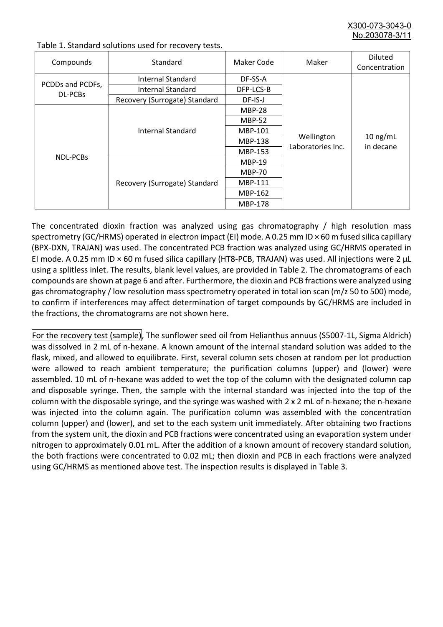X300-073-3043-0 No.203078-3/

| Compounds                          | Standard                      | Maker Code     | Maker                           | <b>Diluted</b><br>Concentration |
|------------------------------------|-------------------------------|----------------|---------------------------------|---------------------------------|
|                                    | Internal Standard             | DF-SS-A        |                                 | $10$ ng/mL<br>in decane         |
| PCDDs and PCDFs,<br><b>DL-PCBs</b> | <b>Internal Standard</b>      | DFP-LCS-B      | Wellington<br>Laboratories Inc. |                                 |
|                                    | Recovery (Surrogate) Standard | DF-IS-J        |                                 |                                 |
| <b>NDL-PCBs</b>                    |                               | <b>MBP-28</b>  |                                 |                                 |
|                                    | Internal Standard             | <b>MBP-52</b>  |                                 |                                 |
|                                    |                               | MBP-101        |                                 |                                 |
|                                    |                               | <b>MBP-138</b> |                                 |                                 |
|                                    |                               | MBP-153        |                                 |                                 |
|                                    | Recovery (Surrogate) Standard | <b>MBP-19</b>  |                                 |                                 |
|                                    |                               | <b>MBP-70</b>  |                                 |                                 |
|                                    |                               | <b>MBP-111</b> |                                 |                                 |
|                                    |                               | MBP-162        |                                 |                                 |
|                                    |                               | <b>MBP-178</b> |                                 |                                 |

Table 1. Standard solutions used for recovery tests.

The concentrated dioxin fraction was analyzed using gas chromatography / high resolution mass spectrometry (GC/HRMS) operated in electron impact (EI) mode. A 0.25 mm ID × 60 m fused silica capillary (BPX-DXN, TRAJAN) was used. The concentrated PCB fraction was analyzed using GC/HRMS operated in EI mode. A 0.25 mm ID × 60 m fused silica capillary (HT8-PCB, TRAJAN) was used. All injections were 2 μL using a splitless inlet. The results, blank level values, are provided in Table 2. The chromatograms of each compounds are shown at page 6 and after. Furthermore, the dioxin and PCB fractions were analyzed using gas chromatography / low resolution mass spectrometry operated in total ion scan (m/z 50 to 500) mode, to confirm if interferences may affect determination of target compounds by GC/HRMS are included in the fractions, the chromatograms are not shown here.

For the recovery test (sample), The sunflower seed oil from Helianthus annuus (S5007-1L, Sigma Aldrich) was dissolved in 2 mL of n-hexane. A known amount of the internal standard solution was added to the flask, mixed, and allowed to equilibrate. First, several column sets chosen at random per lot production were allowed to reach ambient temperature; the purification columns (upper) and (lower) were assembled. 10 mL of n-hexane was added to wet the top of the column with the designated column cap and disposable syringe. Then, the sample with the internal standard was injected into the top of the column with the disposable syringe, and the syringe was washed with 2 x 2 mL of n-hexane; the n-hexane was injected into the column again. The purification column was assembled with the concentration column (upper) and (lower), and set to the each system unit immediately. After obtaining two fractions from the system unit, the dioxin and PCB fractions were concentrated using an evaporation system under nitrogen to approximately 0.01 mL. After the addition of a known amount of recovery standard solution, the both fractions were concentrated to 0.02 mL; then dioxin and PCB in each fractions were analyzed using GC/HRMS as mentioned above test. The inspection results is displayed in Table 3.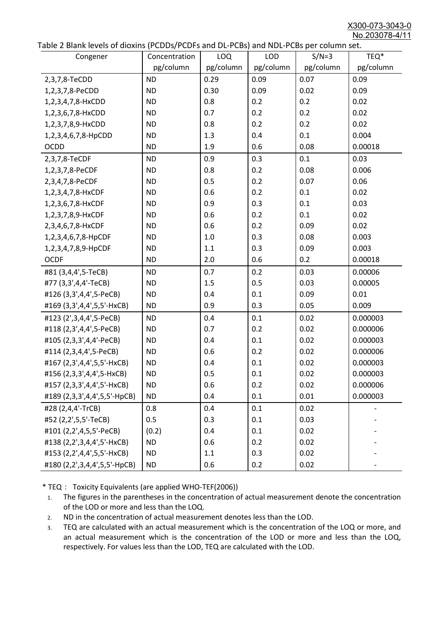X300-073-3043-0 No.203078-4/11

|  | Table 2 Blank levels of dioxins (PCDDs/PCDFs and DL-PCBs) and NDL-PCBs per column set. |
|--|----------------------------------------------------------------------------------------|
|--|----------------------------------------------------------------------------------------|

| abic 2 Diarik icveis of dioxins (I CDD3/TCDTs and DET CD3/ and NDET CD3 pcr column sett.<br>Congener | Concentration | <b>LOQ</b> | <b>LOD</b> | $S/N=3$   | TEQ*      |
|------------------------------------------------------------------------------------------------------|---------------|------------|------------|-----------|-----------|
|                                                                                                      | pg/column     | pg/column  | pg/column  | pg/column | pg/column |
| 2,3,7,8-TeCDD                                                                                        | <b>ND</b>     | 0.29       | 0.09       | 0.07      | 0.09      |
| 1,2,3,7,8-PeCDD                                                                                      | <b>ND</b>     | 0.30       | 0.09       | 0.02      | 0.09      |
| 1,2,3,4,7,8-HxCDD                                                                                    | <b>ND</b>     | 0.8        | 0.2        | 0.2       | 0.02      |
| 1,2,3,6,7,8-HxCDD                                                                                    | <b>ND</b>     | 0.7        | 0.2        | 0.2       | 0.02      |
| 1,2,3,7,8,9-HxCDD                                                                                    | <b>ND</b>     | 0.8        | 0.2        | 0.2       | 0.02      |
| 1,2,3,4,6,7,8-HpCDD                                                                                  | <b>ND</b>     | 1.3        | 0.4        | 0.1       | 0.004     |
| <b>OCDD</b>                                                                                          | <b>ND</b>     | 1.9        | 0.6        | 0.08      | 0.00018   |
| 2,3,7,8-TeCDF                                                                                        | <b>ND</b>     | 0.9        | 0.3        | 0.1       | 0.03      |
| 1,2,3,7,8-PeCDF                                                                                      | <b>ND</b>     | 0.8        | 0.2        | 0.08      | 0.006     |
| 2,3,4,7,8-PeCDF                                                                                      | <b>ND</b>     | 0.5        | 0.2        | 0.07      | 0.06      |
| 1,2,3,4,7,8-HxCDF                                                                                    | <b>ND</b>     | 0.6        | 0.2        | 0.1       | 0.02      |
| 1,2,3,6,7,8-HxCDF                                                                                    | <b>ND</b>     | 0.9        | 0.3        | 0.1       | 0.03      |
| 1,2,3,7,8,9-HxCDF                                                                                    | <b>ND</b>     | 0.6        | 0.2        | 0.1       | 0.02      |
| 2,3,4,6,7,8-HxCDF                                                                                    | <b>ND</b>     | 0.6        | 0.2        | 0.09      | 0.02      |
| 1,2,3,4,6,7,8-HpCDF                                                                                  | <b>ND</b>     | 1.0        | 0.3        | 0.08      | 0.003     |
| 1,2,3,4,7,8,9-HpCDF                                                                                  | <b>ND</b>     | 1.1        | 0.3        | 0.09      | 0.003     |
| <b>OCDF</b>                                                                                          | <b>ND</b>     | 2.0        | 0.6        | 0.2       | 0.00018   |
| #81 (3,4,4',5-TeCB)                                                                                  | <b>ND</b>     | 0.7        | 0.2        | 0.03      | 0.00006   |
| #77 (3,3',4,4'-TeCB)                                                                                 | <b>ND</b>     | 1.5        | 0.5        | 0.03      | 0.00005   |
| #126 (3,3',4,4',5-PeCB)                                                                              | <b>ND</b>     | 0.4        | 0.1        | 0.09      | 0.01      |
| #169 (3,3',4,4',5,5'-HxCB)                                                                           | <b>ND</b>     | 0.9        | 0.3        | 0.05      | 0.009     |
| #123 (2',3,4,4',5-PeCB)                                                                              | <b>ND</b>     | 0.4        | 0.1        | 0.02      | 0.000003  |
| #118 (2,3',4,4',5-PeCB)                                                                              | <b>ND</b>     | 0.7        | 0.2        | 0.02      | 0.000006  |
| #105 (2,3,3',4,4'-PeCB)                                                                              | <b>ND</b>     | 0.4        | 0.1        | 0.02      | 0.000003  |
| #114 (2,3,4,4',5-PeCB)                                                                               | <b>ND</b>     | 0.6        | 0.2        | 0.02      | 0.000006  |
| #167 (2,3',4,4',5,5'-HxCB)                                                                           | <b>ND</b>     | 0.4        | 0.1        | 0.02      | 0.000003  |
| #156 (2,3,3',4,4',5-HxCB)                                                                            | <b>ND</b>     | 0.5        | 0.1        | 0.02      | 0.000003  |
| #157 (2,3,3',4,4',5'-HxCB)                                                                           | <b>ND</b>     | 0.6        | 0.2        | 0.02      | 0.000006  |
| #189 (2,3,3',4,4',5,5'-HpCB)                                                                         | <b>ND</b>     | 0.4        | 0.1        | 0.01      | 0.000003  |
| #28 (2,4,4'-TrCB)                                                                                    | 0.8           | 0.4        | 0.1        | 0.02      |           |
| #52 (2,2',5,5'-TeCB)                                                                                 | 0.5           | 0.3        | 0.1        | 0.03      |           |
| #101 (2,2',4,5,5'-PeCB)                                                                              | (0.2)         | 0.4        | 0.1        | 0.02      |           |
| #138 (2,2',3,4,4',5'-HxCB)                                                                           | <b>ND</b>     | 0.6        | 0.2        | 0.02      |           |
| #153 (2,2',4,4',5,5'-HxCB)                                                                           | <b>ND</b>     | 1.1        | 0.3        | 0.02      |           |
| #180 (2,2',3,4,4',5,5'-HpCB)                                                                         | <b>ND</b>     | 0.6        | 0.2        | 0.02      |           |

\* TEQ: Toxicity Equivalents (are applied WHO-TEF(2006))

- 1. The figures in the parentheses in the concentration of actual measurement denote the concentration of the LOD or more and less than the LOQ.
- 2. ND in the concentration of actual measurement denotes less than the LOD.
- 3. TEQ are calculated with an actual measurement which is the concentration of the LOQ or more, and an actual measurement which is the concentration of the LOD or more and less than the LOQ, respectively. For values less than the LOD, TEQ are calculated with the LOD.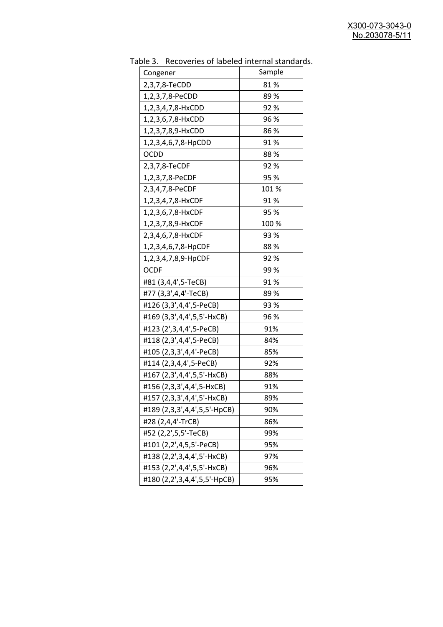| uwic J.<br>Recoveries of fabeled internal standar |        |
|---------------------------------------------------|--------|
| Congener                                          | Sample |
| 2,3,7,8-TeCDD                                     | 81%    |
| 1,2,3,7,8-PeCDD                                   | 89%    |
| 1,2,3,4,7,8-HxCDD                                 | 92%    |
| 1,2,3,6,7,8-HxCDD                                 | 96 %   |
| 1,2,3,7,8,9-HxCDD                                 | 86%    |
| 1,2,3,4,6,7,8-HpCDD                               | 91%    |
| <b>OCDD</b>                                       | 88%    |
| 2,3,7,8-TeCDF                                     | 92%    |
| 1,2,3,7,8-PeCDF                                   | 95 %   |
| 2,3,4,7,8-PeCDF                                   | 101%   |
| 1,2,3,4,7,8-HxCDF                                 | 91%    |
| 1,2,3,6,7,8-HxCDF                                 | 95 %   |
| 1,2,3,7,8,9-HxCDF                                 | 100 %  |
| 2,3,4,6,7,8-HxCDF                                 | 93%    |
| 1,2,3,4,6,7,8-HpCDF                               | 88%    |
| 1,2,3,4,7,8,9-HpCDF                               | 92%    |
| <b>OCDF</b>                                       | 99%    |
| #81 (3,4,4',5-TeCB)                               | 91%    |
| #77 (3,3',4,4'-TeCB)                              | 89 %   |
| #126 (3,3',4,4',5-PeCB)                           | 93 %   |
| #169 (3,3',4,4',5,5'-HxCB)                        | 96 %   |
| #123 (2',3,4,4',5-PeCB)                           | 91%    |
| #118 (2,3',4,4',5-PeCB)                           | 84%    |
| #105 (2,3,3',4,4'-PeCB)                           | 85%    |
| #114 (2,3,4,4',5-PeCB)                            | 92%    |
| #167 (2,3',4,4',5,5'-HxCB)                        | 88%    |
| #156 (2,3,3',4,4',5-HxCB)                         | 91%    |
| #157 (2,3,3',4,4',5'-HxCB)                        | 89%    |
| #189 (2,3,3',4,4',5,5'-HpCB)                      | 90%    |
| #28 (2,4,4'-TrCB)                                 | 86%    |
| #52 (2,2',5,5'-TeCB)                              | 99%    |
| #101 (2,2',4,5,5'-PeCB)                           | 95%    |
| #138 (2,2',3,4,4',5'-HxCB)                        | 97%    |
| #153 (2,2',4,4',5,5'-HxCB)                        | 96%    |
| #180 (2,2',3,4,4',5,5'-HpCB)                      | 95%    |

Table 3. Recoveries of labeled internal standards.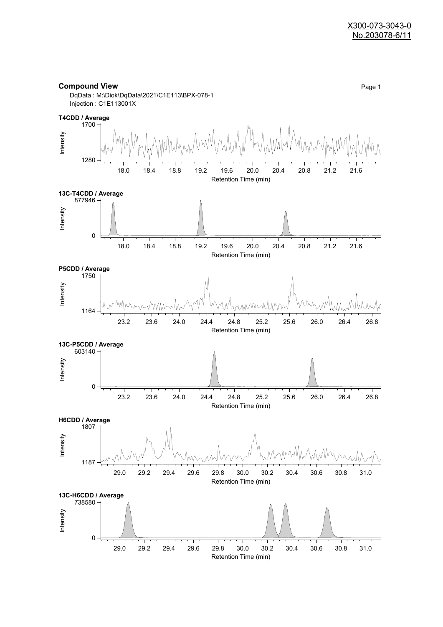#### **Compound View** Page 1

DqData : M:\Diok\DqData\2021\C1E113\BPX-078-1 Injection : C1E113001X

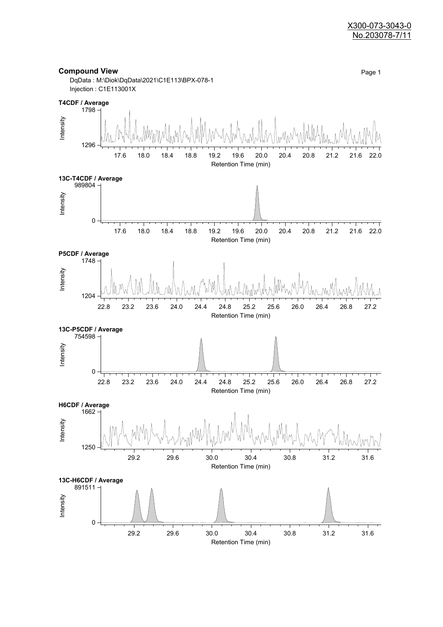#### X300-073-3043-0 No.203078-7/11



Retention Time (min)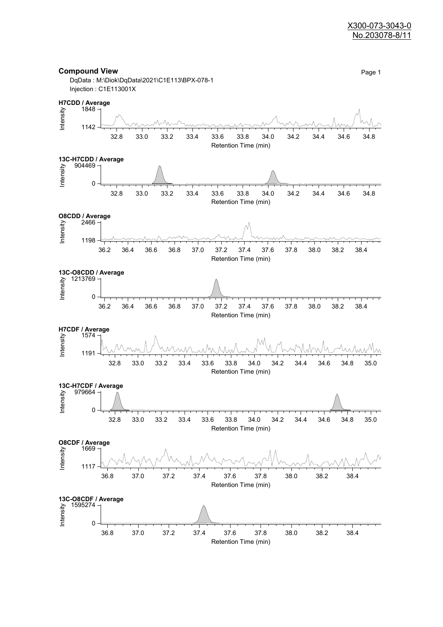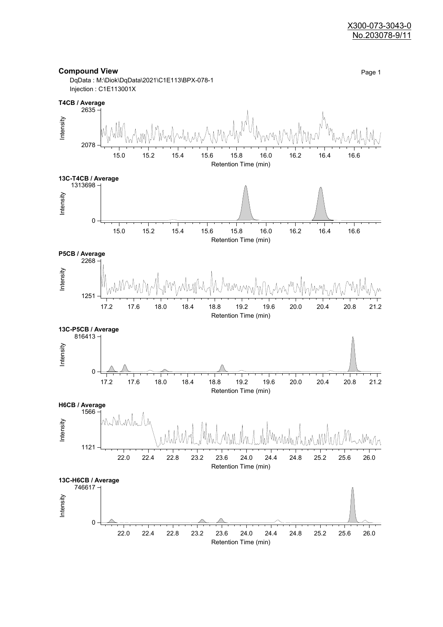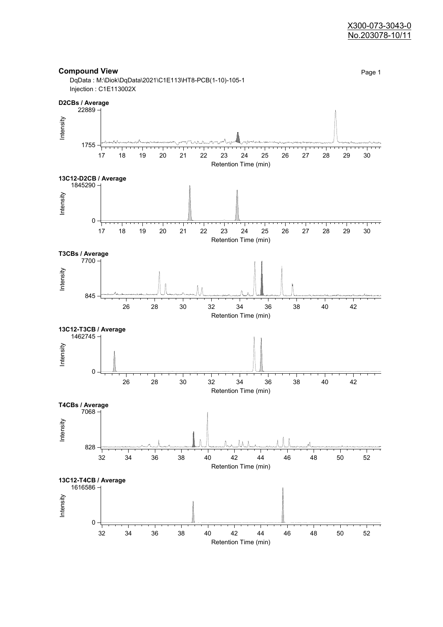